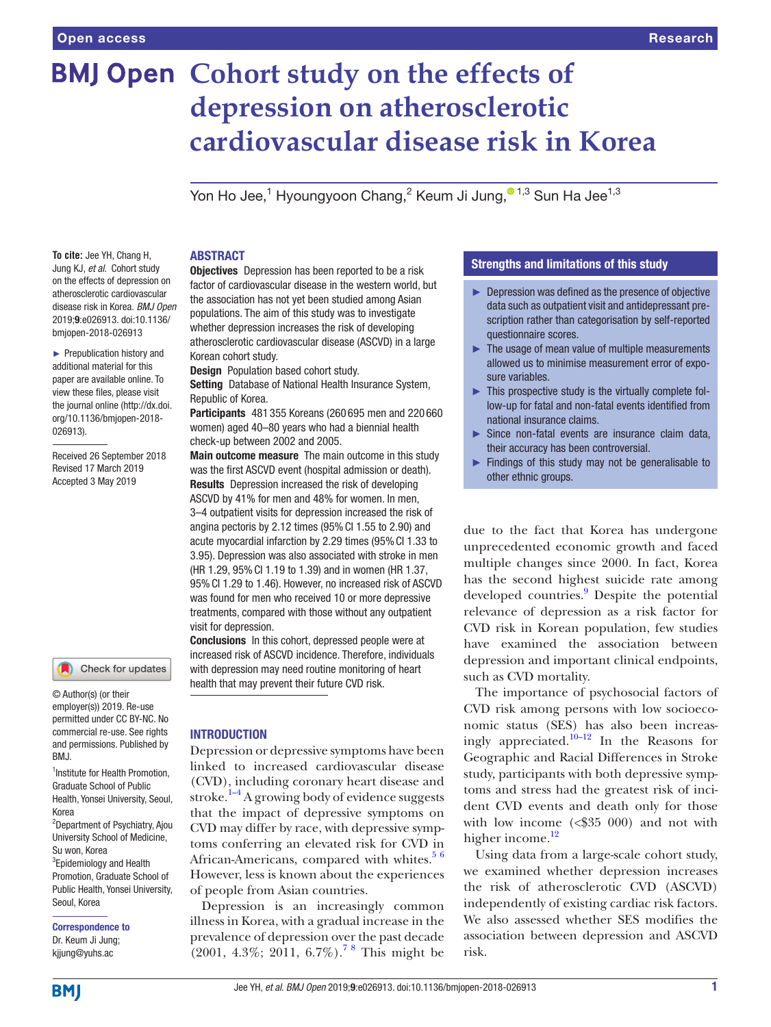# **BMJ Open Cohort study on the effects of depression on atherosclerotic cardiovascular disease risk in Korea**

Yon Ho Jee, $^1$  Hyoungyoon Chang, $^2$  Keum Ji Jung, $^{\textcolor{red}{\textbf{0}} \textcolor{black}{1,3}}$  Sun Ha Jee $^{1,3}$ 

**To cite:** Jee YH, Chang H, Jung KJ, *et al*. Cohort study on the effects of depression on atherosclerotic cardiovascular disease risk in Korea. *BMJ Open* 2019;9:e026913. doi:10.1136/ bmjopen-2018-026913

► Prepublication history and additional material for this paper are available online. To view these files, please visit the journal online [\(http://dx.doi.](http://dx.doi.org/10.1136/bmjopen-2018-026913) [org/10.1136/bmjopen-2018-](http://dx.doi.org/10.1136/bmjopen-2018-026913) [026913\)](http://dx.doi.org/10.1136/bmjopen-2018-026913).

Received 26 September 2018 Revised 17 March 2019 Accepted 3 May 2019

#### Check for updates

© Author(s) (or their employer(s)) 2019. Re-use permitted under CC BY-NC. No commercial re-use. See rights and permissions. Published by BMJ.

1 Institute for Health Promotion, Graduate School of Public Health, Yonsei University, Seoul, Korea <sup>2</sup>Department of Psychiatry, Ajou University School of Medicine, Su won, Korea <sup>3</sup> Epidemiology and Health Promotion, Graduate School of

Public Health, Yonsei University, Seoul, Korea Correspondence to

Dr. Keum Ji Jung; kjjung@yuhs.ac

#### **ABSTRACT**

**Objectives** Depression has been reported to be a risk factor of cardiovascular disease in the western world, but the association has not yet been studied among Asian populations. The aim of this study was to investigate whether depression increases the risk of developing atherosclerotic cardiovascular disease (ASCVD) in a large Korean cohort study.

Design Population based cohort study.

Setting Database of National Health Insurance System, Republic of Korea.

Participants 481 355 Koreans (260 695 men and 220 660 women) aged 40–80 years who had a biennial health check-up between 2002 and 2005.

Main outcome measure The main outcome in this study was the first ASCVD event (hospital admission or death). Results Depression increased the risk of developing ASCVD by 41% for men and 48% for women. In men, 3–4 outpatient visits for depression increased the risk of angina pectoris by 2.12 times (95%CI 1.55 to 2.90) and acute myocardial infarction by 2.29 times (95%CI 1.33 to 3.95). Depression was also associated with stroke in men (HR 1.29, 95%CI 1.19 to 1.39) and in women (HR 1.37, 95%CI 1.29 to 1.46). However, no increased risk of ASCVD was found for men who received 10 or more depressive treatments, compared with those without any outpatient visit for depression.

Conclusions In this cohort, depressed people were at increased risk of ASCVD incidence. Therefore, individuals with depression may need routine monitoring of heart health that may prevent their future CVD risk.

#### **INTRODUCTION**

Depression or depressive symptoms have been linked to increased cardiovascular disease (CVD), including coronary heart disease and stroke. $1-4$  A growing body of evidence suggests that the impact of depressive symptoms on CVD may differ by race, with depressive symptoms conferring an elevated risk for CVD in African-Americans, compared with whites.<sup>[5 6](#page-7-1)</sup> However, less is known about the experiences of people from Asian countries.

Depression is an increasingly common illness in Korea, with a gradual increase in the prevalence of depression over the past decade  $(2001, 4.3\%; 2011, 6.7\%).$ <sup>78</sup> This might be

# Strengths and limitations of this study

- ► Depression was defined as the presence of objective data such as outpatient visit and antidepressant prescription rather than categorisation by self-reported questionnaire scores.
- $\blacktriangleright$  The usage of mean value of multiple measurements allowed us to minimise measurement error of exposure variables.
- ► This prospective study is the virtually complete follow-up for fatal and non-fatal events identified from national insurance claims.
- ► Since non-fatal events are insurance claim data, their accuracy has been controversial.
- ► Findings of this study may not be generalisable to other ethnic groups.

due to the fact that Korea has undergone unprecedented economic growth and faced multiple changes since 2000. In fact, Korea has the second highest suicide rate among developed countries.<sup>9</sup> Despite the potential relevance of depression as a risk factor for CVD risk in Korean population, few studies have examined the association between depression and important clinical endpoints, such as CVD mortality.

The importance of psychosocial factors of CVD risk among persons with low socioeconomic status (SES) has also been increasingly appreciated.<sup>10–12</sup> In the Reasons for Geographic and Racial Differences in Stroke study, participants with both depressive symptoms and stress had the greatest risk of incident CVD events and death only for those with low income (<\$35 000) and not with higher income.<sup>[12](#page-7-5)</sup>

Using data from a large-scale cohort study, we examined whether depression increases the risk of atherosclerotic CVD (ASCVD) independently of existing cardiac risk factors. We also assessed whether SES modifies the association between depression and ASCVD risk.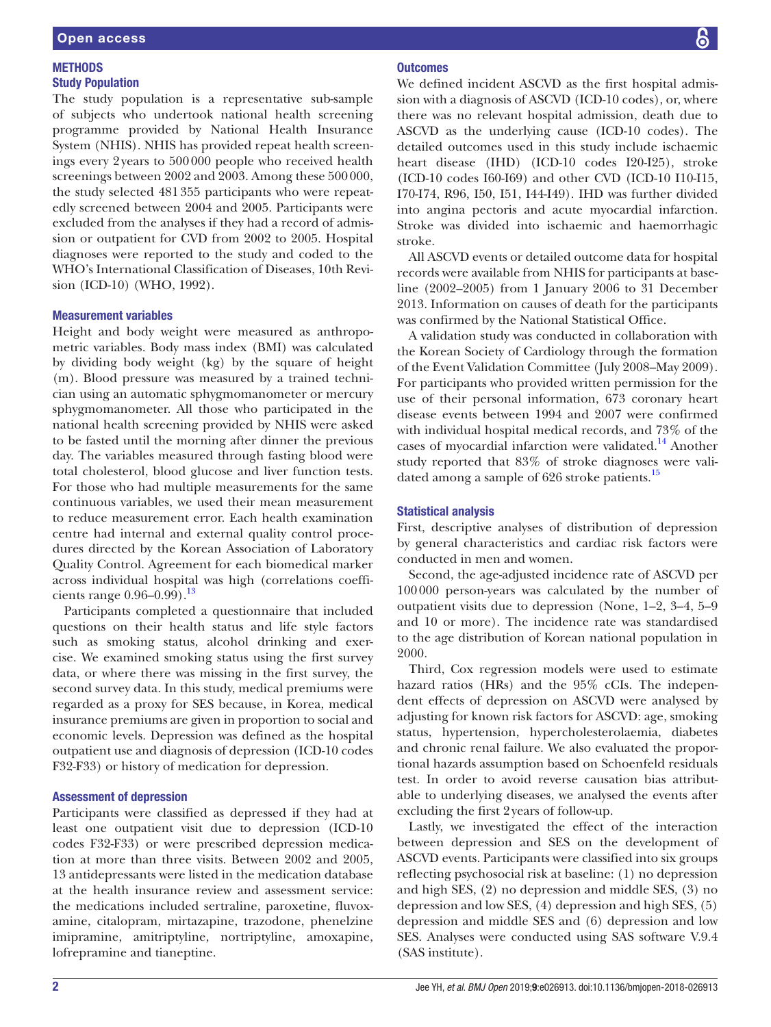# **METHODS** Study Population

The study population is a representative sub-sample of subjects who undertook national health screening programme provided by National Health Insurance System (NHIS). NHIS has provided repeat health screenings every 2years to 500000 people who received health screenings between 2002 and 2003. Among these 500000, the study selected 481355 participants who were repeatedly screened between 2004 and 2005. Participants were excluded from the analyses if they had a record of admission or outpatient for CVD from 2002 to 2005. Hospital diagnoses were reported to the study and coded to the WHO's International Classification of Diseases, 10th Revision (ICD-10) (WHO, 1992).

# Measurement variables

Height and body weight were measured as anthropometric variables. Body mass index (BMI) was calculated by dividing body weight (kg) by the square of height (m). Blood pressure was measured by a trained technician using an automatic sphygmomanometer or mercury sphygmomanometer. All those who participated in the national health screening provided by NHIS were asked to be fasted until the morning after dinner the previous day. The variables measured through fasting blood were total cholesterol, blood glucose and liver function tests. For those who had multiple measurements for the same continuous variables, we used their mean measurement to reduce measurement error. Each health examination centre had internal and external quality control procedures directed by the Korean Association of Laboratory Quality Control. Agreement for each biomedical marker across individual hospital was high (correlations coefficients range  $0.96 - 0.99$ ).<sup>13</sup>

Participants completed a questionnaire that included questions on their health status and life style factors such as smoking status, alcohol drinking and exercise. We examined smoking status using the first survey data, or where there was missing in the first survey, the second survey data. In this study, medical premiums were regarded as a proxy for SES because, in Korea, medical insurance premiums are given in proportion to social and economic levels. Depression was defined as the hospital outpatient use and diagnosis of depression (ICD-10 codes F32-F33) or history of medication for depression.

# Assessment of depression

Participants were classified as depressed if they had at least one outpatient visit due to depression (ICD-10 codes F32-F33) or were prescribed depression medication at more than three visits. Between 2002 and 2005, 13 antidepressants were listed in the medication database at the health insurance review and assessment service: the medications included sertraline, paroxetine, fluvoxamine, citalopram, mirtazapine, trazodone, phenelzine imipramine, amitriptyline, nortriptyline, amoxapine, lofrepramine and tianeptine.

# **Outcomes**

We defined incident ASCVD as the first hospital admission with a diagnosis of ASCVD (ICD-10 codes), or, where there was no relevant hospital admission, death due to ASCVD as the underlying cause (ICD-10 codes). The detailed outcomes used in this study include ischaemic heart disease (IHD) (ICD-10 codes I20-I25), stroke (ICD-10 codes I60-I69) and other CVD (ICD-10 I10-I15, I70-I74, R96, I50, I51, I44-I49). IHD was further divided into angina pectoris and acute myocardial infarction. Stroke was divided into ischaemic and haemorrhagic stroke.

All ASCVD events or detailed outcome data for hospital records were available from NHIS for participants at baseline (2002–2005) from 1 January 2006 to 31 December 2013. Information on causes of death for the participants was confirmed by the National Statistical Office.

A validation study was conducted in collaboration with the Korean Society of Cardiology through the formation of the Event Validation Committee (July 2008–May 2009). For participants who provided written permission for the use of their personal information, 673 coronary heart disease events between 1994 and 2007 were confirmed with individual hospital medical records, and 73% of the cases of myocardial infarction were validated.<sup>14</sup> Another study reported that 83% of stroke diagnoses were validated among a sample of 626 stroke patients.<sup>15</sup>

# Statistical analysis

First, descriptive analyses of distribution of depression by general characteristics and cardiac risk factors were conducted in men and women.

Second, the age-adjusted incidence rate of ASCVD per 100000 person-years was calculated by the number of outpatient visits due to depression (None, 1–2, 3–4, 5–9 and 10 or more). The incidence rate was standardised to the age distribution of Korean national population in 2000.

Third, Cox regression models were used to estimate hazard ratios (HRs) and the 95% cCIs. The independent effects of depression on ASCVD were analysed by adjusting for known risk factors for ASCVD: age, smoking status, hypertension, hypercholesterolaemia, diabetes and chronic renal failure. We also evaluated the proportional hazards assumption based on Schoenfeld residuals test. In order to avoid reverse causation bias attributable to underlying diseases, we analysed the events after excluding the first 2years of follow-up.

Lastly, we investigated the effect of the interaction between depression and SES on the development of ASCVD events. Participants were classified into six groups reflecting psychosocial risk at baseline: (1) no depression and high SES, (2) no depression and middle SES, (3) no depression and low SES, (4) depression and high SES, (5) depression and middle SES and (6) depression and low SES. Analyses were conducted using SAS software V.9.4 (SAS institute).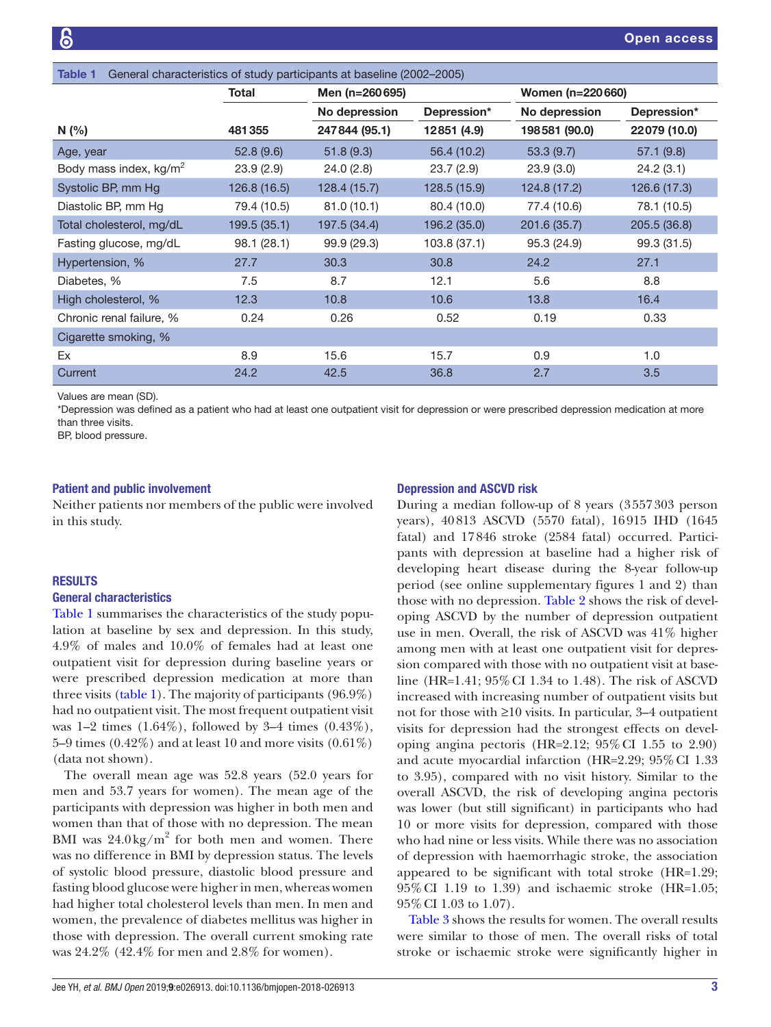<span id="page-2-0"></span>

| General characteristics of study participants at baseline (2002-2005)<br>Table 1 |              |                |              |                  |              |
|----------------------------------------------------------------------------------|--------------|----------------|--------------|------------------|--------------|
|                                                                                  | Total        | Men (n=260695) |              | Women (n=220660) |              |
|                                                                                  |              | No depression  | Depression*  | No depression    | Depression*  |
| N(%)                                                                             | 481355       | 247844 (95.1)  | 12851 (4.9)  | 198581 (90.0)    | 22079 (10.0) |
| Age, year                                                                        | 52.8(9.6)    | 51.8(9.3)      | 56.4 (10.2)  | 53.3(9.7)        | 57.1(9.8)    |
| Body mass index, kg/m <sup>2</sup>                                               | 23.9(2.9)    | 24.0(2.8)      | 23.7(2.9)    | 23.9(3.0)        | 24.2(3.1)    |
| Systolic BP, mm Hg                                                               | 126.8 (16.5) | 128.4(15.7)    | 128.5 (15.9) | 124.8 (17.2)     | 126.6 (17.3) |
| Diastolic BP, mm Hg                                                              | 79.4 (10.5)  | 81.0(10.1)     | 80.4 (10.0)  | 77.4 (10.6)      | 78.1 (10.5)  |
| Total cholesterol, mg/dL                                                         | 199.5 (35.1) | 197.5 (34.4)   | 196.2 (35.0) | 201.6 (35.7)     | 205.5 (36.8) |
| Fasting glucose, mg/dL                                                           | 98.1 (28.1)  | 99.9 (29.3)    | 103.8 (37.1) | 95.3 (24.9)      | 99.3 (31.5)  |
| Hypertension, %                                                                  | 27.7         | 30.3           | 30.8         | 24.2             | 27.1         |
| Diabetes, %                                                                      | 7.5          | 8.7            | 12.1         | 5.6              | 8.8          |
| High cholesterol, %                                                              | 12.3         | 10.8           | 10.6         | 13.8             | 16.4         |
| Chronic renal failure, %                                                         | 0.24         | 0.26           | 0.52         | 0.19             | 0.33         |
| Cigarette smoking, %                                                             |              |                |              |                  |              |
| Ex                                                                               | 8.9          | 15.6           | 15.7         | 0.9              | 1.0          |
| Current                                                                          | 24.2         | 42.5           | 36.8         | 2.7              | 3.5          |

Values are mean (SD).

\*Depression was defined as a patient who had at least one outpatient visit for depression or were prescribed depression medication at more than three visits.

BP, blood pressure.

#### Patient and public involvement

Neither patients nor members of the public were involved in this study.

# **RESULTS**

#### General characteristics

[Table](#page-2-0) 1 summarises the characteristics of the study population at baseline by sex and depression. In this study, 4.9% of males and 10.0% of females had at least one outpatient visit for depression during baseline years or were prescribed depression medication at more than three visits ([table](#page-2-0) 1). The majority of participants (96.9%) had no outpatient visit. The most frequent outpatient visit was 1–2 times (1.64%), followed by 3–4 times (0.43%), 5–9 times  $(0.42\%)$  and at least 10 and more visits  $(0.61\%)$ (data not shown).

The overall mean age was 52.8 years (52.0 years for men and 53.7 years for women). The mean age of the participants with depression was higher in both men and women than that of those with no depression. The mean BMI was  $24.0 \text{ kg/m}^2$  for both men and women. There was no difference in BMI by depression status. The levels of systolic blood pressure, diastolic blood pressure and fasting blood glucose were higher in men, whereas women had higher total cholesterol levels than men. In men and women, the prevalence of diabetes mellitus was higher in those with depression. The overall current smoking rate was 24.2% (42.4% for men and 2.8% for women).

#### Depression and ASCVD risk

During a median follow-up of 8 years (3557303 person years), 40813 ASCVD (5570 fatal), 16915 IHD (1645 fatal) and 17846 stroke (2584 fatal) occurred. Participants with depression at baseline had a higher risk of developing heart disease during the 8-year follow-up period (see online [supplementary figures 1 and 2](https://dx.doi.org/10.1136/bmjopen-2018-026913)) than those with no depression. [Table](#page-3-0) 2 shows the risk of developing ASCVD by the number of depression outpatient use in men. Overall, the risk of ASCVD was 41% higher among men with at least one outpatient visit for depression compared with those with no outpatient visit at baseline (HR=1.41; 95%CI 1.34 to 1.48). The risk of ASCVD increased with increasing number of outpatient visits but not for those with ≥10 visits. In particular, 3–4 outpatient visits for depression had the strongest effects on developing angina pectoris (HR= $2.12$ ;  $95\%$  CI 1.55 to 2.90) and acute myocardial infarction (HR=2.29; 95%CI 1.33 to 3.95), compared with no visit history. Similar to the overall ASCVD, the risk of developing angina pectoris was lower (but still significant) in participants who had 10 or more visits for depression, compared with those who had nine or less visits. While there was no association of depression with haemorrhagic stroke, the association appeared to be significant with total stroke (HR=1.29; 95%CI 1.19 to 1.39) and ischaemic stroke (HR=1.05; 95%CI 1.03 to 1.07).

[Table](#page-4-0) 3 shows the results for women. The overall results were similar to those of men. The overall risks of total stroke or ischaemic stroke were significantly higher in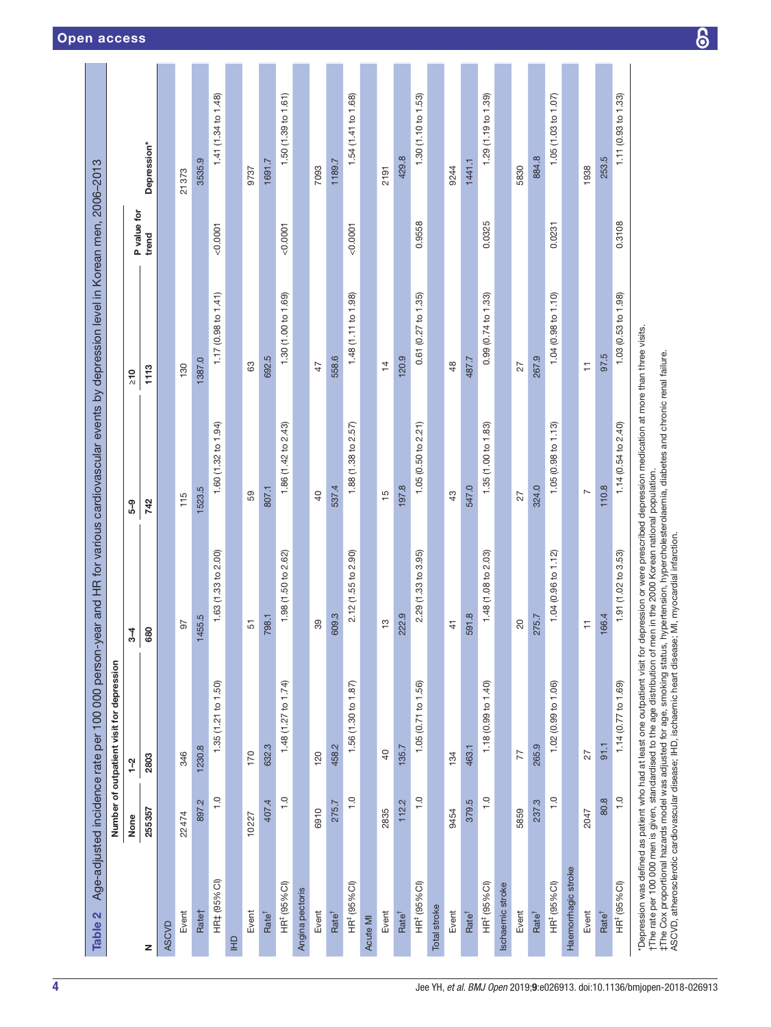<span id="page-3-0"></span>

| Table 2                  |               | Age-adjusted incidence rate per 100 000 person-y                                                                                                                                                                                                                                                                                                                                                                                                                                                           |                     |                                                                          | ear and HR for various cardiovascular events by depression level in Korean men, 2006-2013 |             |                     |
|--------------------------|---------------|------------------------------------------------------------------------------------------------------------------------------------------------------------------------------------------------------------------------------------------------------------------------------------------------------------------------------------------------------------------------------------------------------------------------------------------------------------------------------------------------------------|---------------------|--------------------------------------------------------------------------|-------------------------------------------------------------------------------------------|-------------|---------------------|
|                          |               | Number of outpatient visit for depression                                                                                                                                                                                                                                                                                                                                                                                                                                                                  |                     |                                                                          |                                                                                           |             |                     |
|                          | None          | $1 - 2$                                                                                                                                                                                                                                                                                                                                                                                                                                                                                                    | ર્પૂ                | ႐ွိ                                                                      | $\frac{1}{2}$                                                                             | P value for |                     |
| z                        | 255357        | 2803                                                                                                                                                                                                                                                                                                                                                                                                                                                                                                       | 680                 | 742                                                                      | 1113                                                                                      | trend       | Depression*         |
| ASCVD                    |               |                                                                                                                                                                                                                                                                                                                                                                                                                                                                                                            |                     |                                                                          |                                                                                           |             |                     |
| Event                    | 22474         | 346                                                                                                                                                                                                                                                                                                                                                                                                                                                                                                        | 50                  | 115                                                                      | 130                                                                                       |             | 21373               |
| Rate†                    | 897.2         | 1230.8                                                                                                                                                                                                                                                                                                                                                                                                                                                                                                     | 1455.5              | 1523.5                                                                   | 1387.0                                                                                    |             | 3535.9              |
| HR# (95% CI)             | $\frac{0}{1}$ | 1.35 (1.21 to 1.50)                                                                                                                                                                                                                                                                                                                                                                                                                                                                                        | 1.63 (1.33 to 2.00) | 1.60 (1.32 to 1.94)                                                      | 1.17 (0.98 to 1.41)                                                                       | 0.0001      | 1.41 (1.34 to 1.48) |
| E                        |               |                                                                                                                                                                                                                                                                                                                                                                                                                                                                                                            |                     |                                                                          |                                                                                           |             |                     |
| Event                    | 10227         | 170                                                                                                                                                                                                                                                                                                                                                                                                                                                                                                        | 51                  | 59                                                                       | 63                                                                                        |             | 9737                |
| Rate <sup>†</sup>        | 407.4         | 632.3                                                                                                                                                                                                                                                                                                                                                                                                                                                                                                      | 798.1               | 807.1                                                                    | 692.5                                                                                     |             | 1691.7              |
| HR <sup>#</sup> (95% CI) | $\frac{0}{1}$ | 1.48 (1.27 to 1.74)                                                                                                                                                                                                                                                                                                                                                                                                                                                                                        | 1.98 (1.50 to 2.62) | 1.86 (1.42 to 2.43)                                                      | 1.30 (1.00 to 1.69)                                                                       | 0.0007      | 1.50 (1.39 to 1.61) |
| Angina pectoris          |               |                                                                                                                                                                                                                                                                                                                                                                                                                                                                                                            |                     |                                                                          |                                                                                           |             |                     |
| Event                    | 6910          | 120                                                                                                                                                                                                                                                                                                                                                                                                                                                                                                        | 39                  | $\overline{0}$                                                           | 47                                                                                        |             | 7093                |
| Rate <sup>†</sup>        | 275.7         | 458.2                                                                                                                                                                                                                                                                                                                                                                                                                                                                                                      | 609.3               | 537.4                                                                    | 558.6                                                                                     |             | 1189.7              |
| HR <sup>#</sup> (95% CI) | $\frac{0}{1}$ | 1.56 (1.30 to 1.87)                                                                                                                                                                                                                                                                                                                                                                                                                                                                                        | 2.12 (1.55 to 2.90) | 1.88 (1.38 to 2.57)                                                      | 1.48 (1.11 to 1.98)                                                                       | 0.0001      | 1.54 (1.41 to 1.68) |
| Acute MI                 |               |                                                                                                                                                                                                                                                                                                                                                                                                                                                                                                            |                     |                                                                          |                                                                                           |             |                     |
| Event                    | 2835          | $\overline{a}$                                                                                                                                                                                                                                                                                                                                                                                                                                                                                             | $\frac{3}{2}$       | $\frac{5}{1}$                                                            | $\frac{1}{4}$                                                                             |             | 2191                |
| Rate <sup>†</sup>        | 112.2         | 135.7                                                                                                                                                                                                                                                                                                                                                                                                                                                                                                      | 222.9               | 197.8                                                                    | 120.9                                                                                     |             | 429.8               |
| HR <sup>#</sup> (95% CI) | $\frac{1}{1}$ | 1.05 (0.71 to 1.56)                                                                                                                                                                                                                                                                                                                                                                                                                                                                                        | 2.29(1.33 to 3.95)  | 1.05(0.50 to 2.21)                                                       | 0.61(0.27 to 1.35)                                                                        | 0.9558      | 1.30(1.10 to 1.53)  |
| Total stroke             |               |                                                                                                                                                                                                                                                                                                                                                                                                                                                                                                            |                     |                                                                          |                                                                                           |             |                     |
| Event                    | 9454          | 134                                                                                                                                                                                                                                                                                                                                                                                                                                                                                                        | $\frac{4}{1}$       | 43                                                                       | 48                                                                                        |             | 9244                |
| Rate <sup>†</sup>        | 379.5         | 463.1                                                                                                                                                                                                                                                                                                                                                                                                                                                                                                      | 591.8               | 547.0                                                                    | 487.7                                                                                     |             | 1441.1              |
| HR <sup>#</sup> (95% CI) | $\frac{0}{1}$ | 1.18 (0.99 to 1.40)                                                                                                                                                                                                                                                                                                                                                                                                                                                                                        | 1.48 (1.08 to 2.03) | 1.35 (1.00 to 1.83)                                                      | 0.99 (0.74 to 1.33)                                                                       | 0.0325      | 1.29 (1.19 to 1.39) |
| Ischaemic stroke         |               |                                                                                                                                                                                                                                                                                                                                                                                                                                                                                                            |                     |                                                                          |                                                                                           |             |                     |
| Event                    | 5859          | 77                                                                                                                                                                                                                                                                                                                                                                                                                                                                                                         | 20                  | 27                                                                       | 27                                                                                        |             | 5830                |
| Rate <sup>†</sup>        | 237.3         | 265.9                                                                                                                                                                                                                                                                                                                                                                                                                                                                                                      | 275.7               | 324.0                                                                    | 267.9                                                                                     |             | 884.8               |
| HR <sup>#</sup> (95% CI) | $\frac{0}{1}$ | 1.02 (0.99 to 1.06)                                                                                                                                                                                                                                                                                                                                                                                                                                                                                        | 1.04 (0.96 to 1.12) | 1.05(0.98 to 1.13)                                                       | 1.04 (0.98 to 1.10)                                                                       | 0.0231      | 1.05(1.03 to 1.07)  |
| Haemorrhagic stroke      |               |                                                                                                                                                                                                                                                                                                                                                                                                                                                                                                            |                     |                                                                          |                                                                                           |             |                     |
| Event                    | 2047          | 27                                                                                                                                                                                                                                                                                                                                                                                                                                                                                                         | $\overline{1}$      | $\overline{ }$                                                           | $\overline{+}$                                                                            |             | 1938                |
| Rate <sup>†</sup>        | 80.8          | 91.1                                                                                                                                                                                                                                                                                                                                                                                                                                                                                                       | 166.4               | 110.8                                                                    | 97.5                                                                                      |             | 253.5               |
| HR <sup>#</sup> (95% CI) | $\frac{0}{1}$ | 1.14 (0.77 to 1.69)                                                                                                                                                                                                                                                                                                                                                                                                                                                                                        | 1.91 (1.02 to 3.53) | 1.14(0.54 to 2.40)                                                       | 1.03 (0.53 to 1.98)                                                                       | 0.3108      | 1.11 (0.93 to 1.33) |
|                          |               | Depression was defined as patient who had at least one outpatient visit for depression or were prescribed depression medication at more than three visits.<br>†The rate per 100 000 men is given, standardised to the age distribution of men in the 2000 Korean national population.<br>‡The Cox proportional hazards model was adjusted for age, smoking status, hypertension, hypercholester<br>ASCVD, atherosclerotic cardiovascular disease; IHD, ischaemic heart disease; MI, myocardial infarction. |                     | hypertension, hypercholesterolaemia, diabetes and chronic renal failure. |                                                                                           |             |                     |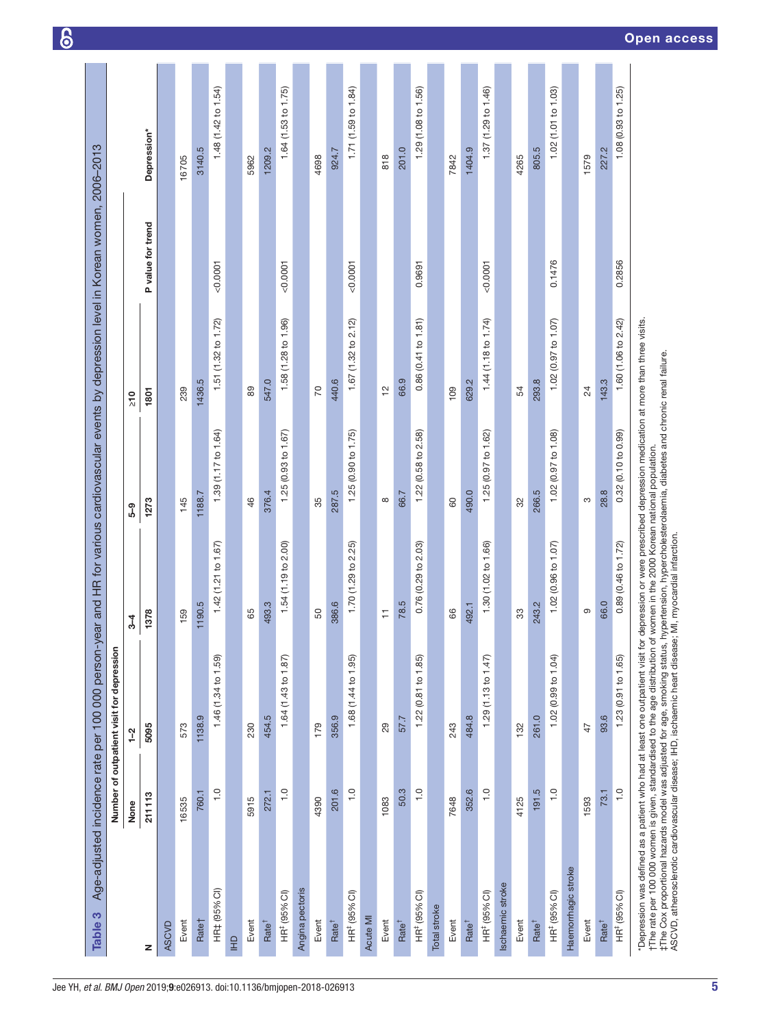<span id="page-4-0"></span>

| Table 3                                                                                                 |                   | Age-adjusted incidence rate per 100 000 person-year and HR for various cardiovascular events by depression level in Korean women, 2006-2013<br>Number of outpatient visit for depression                                                     |                         |                                                                                                                                                                                                              |                     |                   |                     |
|---------------------------------------------------------------------------------------------------------|-------------------|----------------------------------------------------------------------------------------------------------------------------------------------------------------------------------------------------------------------------------------------|-------------------------|--------------------------------------------------------------------------------------------------------------------------------------------------------------------------------------------------------------|---------------------|-------------------|---------------------|
|                                                                                                         | None              | $1 - 2$                                                                                                                                                                                                                                      | $\frac{3}{4}$           | <u>ဇ</u> ာ                                                                                                                                                                                                   | $\frac{1}{2}$       |                   |                     |
| z                                                                                                       | 211113            | 5095                                                                                                                                                                                                                                         | 1378                    | 1273                                                                                                                                                                                                         | 1801                | P value for trend | Depression*         |
| <b>ASCVD</b>                                                                                            |                   |                                                                                                                                                                                                                                              |                         |                                                                                                                                                                                                              |                     |                   |                     |
| Event                                                                                                   | 16535             | 573                                                                                                                                                                                                                                          | 159                     | 145                                                                                                                                                                                                          | 239                 |                   | 16705               |
| Rate†                                                                                                   | 760.1             | 1138.9                                                                                                                                                                                                                                       | 1190.5                  | 1188.7                                                                                                                                                                                                       | 1436.5              |                   | 3140.5              |
| HR‡ (95% CI)                                                                                            | $\frac{0}{1}$     | 1.46 (1.34 to 1.59)                                                                                                                                                                                                                          | 1.42 (1.21 to 1.67)     | 1.39 (1.17 to 1.64)                                                                                                                                                                                          | 1.51(1.32 to 1.72)  | 0.0001            | 1.48 (1.42 to 1.54) |
| E                                                                                                       |                   |                                                                                                                                                                                                                                              |                         |                                                                                                                                                                                                              |                     |                   |                     |
| Event                                                                                                   | 5915              | 230                                                                                                                                                                                                                                          | 65                      | 46                                                                                                                                                                                                           | 89                  |                   | 5962                |
| Rate <sup>†</sup>                                                                                       | 272.1             | 454.5                                                                                                                                                                                                                                        | 493.3                   | 376.4                                                                                                                                                                                                        | 547.0               |                   | 1209.2              |
| HR <sup>#</sup> (95% CI)                                                                                | $\overline{1}$ .0 | 1.64 (1.43 to 1.87)                                                                                                                                                                                                                          | 1.54 (1.19 to 2.00)     | 1.25 (0.93 to 1.67)                                                                                                                                                                                          | 1.58 (1.28 to 1.96) | 0.0001            | 1.64 (1.53 to 1.75) |
| Angina pectoris                                                                                         |                   |                                                                                                                                                                                                                                              |                         |                                                                                                                                                                                                              |                     |                   |                     |
| Event                                                                                                   | 4390              | 179                                                                                                                                                                                                                                          | 50                      | 35                                                                                                                                                                                                           | 20                  |                   | 4698                |
| Rate <sup>†</sup>                                                                                       | 201.6             | 356.9                                                                                                                                                                                                                                        | 386.6                   | 287.5                                                                                                                                                                                                        | 440.6               |                   | 924.7               |
| HR <sup>‡</sup> (95% CI)                                                                                | $\frac{0}{1}$     | 1.68 $(1.44 \text{ to } 1.95)$                                                                                                                                                                                                               | 1.70 (1.29 to 2.25)     | 1.25(0.90 to 1.75)                                                                                                                                                                                           | 1.67 (1.32 to 2.12) | 0.0001            | 1.71(1.59 to 1.84)  |
| Acute MI                                                                                                |                   |                                                                                                                                                                                                                                              |                         |                                                                                                                                                                                                              |                     |                   |                     |
| Event                                                                                                   | 1083              | 29                                                                                                                                                                                                                                           | $\overleftarrow{\cdot}$ | ${}^{\circ}$                                                                                                                                                                                                 | $\tilde{c}$         |                   | 818                 |
| Rate <sup>†</sup>                                                                                       | 50.3              | 57.7                                                                                                                                                                                                                                         | 78.5                    | 66.7                                                                                                                                                                                                         | 66.9                |                   | 201.0               |
| HR <sup>#</sup> (95% CI)                                                                                | $\frac{0}{1}$     | $1.22(0.81$ to $1.85)$                                                                                                                                                                                                                       | 0.76(0.29 to 2.03)      | 1.22 (0.58 to 2.58)                                                                                                                                                                                          | 0.86(0.41 to 1.81)  | 0.9691            | 1.29 (1.08 to 1.56) |
| Total stroke                                                                                            |                   |                                                                                                                                                                                                                                              |                         |                                                                                                                                                                                                              |                     |                   |                     |
| Event                                                                                                   | 7648              | 243                                                                                                                                                                                                                                          | 86                      | 60                                                                                                                                                                                                           | 109                 |                   | 7842                |
| Rate <sup>†</sup>                                                                                       | 352.6             | 484.8                                                                                                                                                                                                                                        | 492.1                   | 490.0                                                                                                                                                                                                        | 629.2               |                   | 1404.9              |
| HR <sup>#</sup> (95% CI)                                                                                | $\frac{0}{1}$     | 1.29 $(1.13$ to 1.47)                                                                                                                                                                                                                        | 1.30 (1.02 to 1.66)     | 1.25 (0.97 to 1.62)                                                                                                                                                                                          | 1.44 (1.18 to 1.74) | 0.0001            | 1.37 (1.29 to 1.46) |
| Ischaemic stroke                                                                                        |                   |                                                                                                                                                                                                                                              |                         |                                                                                                                                                                                                              |                     |                   |                     |
| Event                                                                                                   | 4125              | 132                                                                                                                                                                                                                                          | 33                      | 32                                                                                                                                                                                                           | 54                  |                   | 4265                |
| Rate <sup>†</sup>                                                                                       | 191.5             | 261.0                                                                                                                                                                                                                                        | 243.2                   | 266.5                                                                                                                                                                                                        | 293.8               |                   | 805.5               |
| HR <sup>‡</sup> (95% Cl)                                                                                | $\frac{0}{1}$     | 1.02(0.99 to 1.04)                                                                                                                                                                                                                           | 1.02 (0.96 to 1.07)     | 1.02 (0.97 to 1.08)                                                                                                                                                                                          | 1.02 (0.97 to 1.07) | 0.1476            | 1.02 (1.01 to 1.03) |
| Haemorrhagic stroke                                                                                     |                   |                                                                                                                                                                                                                                              |                         |                                                                                                                                                                                                              |                     |                   |                     |
| Event                                                                                                   | 1593              | 47                                                                                                                                                                                                                                           | တ                       | S                                                                                                                                                                                                            | 24                  |                   | 1579                |
| Rate <sup>†</sup>                                                                                       | 73.1              | 93.6                                                                                                                                                                                                                                         | 66.0                    | 28.8                                                                                                                                                                                                         | 143.3               |                   | 227.2               |
| HR <sup>#</sup> (95% CI)                                                                                | $\frac{0}{1}$     | 1.23(0.91 to 1.65)                                                                                                                                                                                                                           | 0.89 (0.46 to 1.72)     | 0.32(0.10 to 0.99)                                                                                                                                                                                           | 1.60 (1.06 to 2.42) | 0.2856            | 1.08 (0.93 to 1.25) |
| ASCVD, atherosclerotic cardiovascular disease; IHD, ischaemic heart disease; MI, myocardial infarction. |                   | *Depression was defined as a patient who had at least one outpatient visit for<br>tThe rate per 100 000 women is given, standardised to the age distribution of<br>‡The Cox proportional hazards model was adjusted for age, smoking status, |                         | depression or were prescribed depression medication at more than three visits.<br>'women in the 2000 Korean national population.<br>hypertension, hypercholesterolaemia, diabetes and chronic renal failure. |                     |                   |                     |

**6**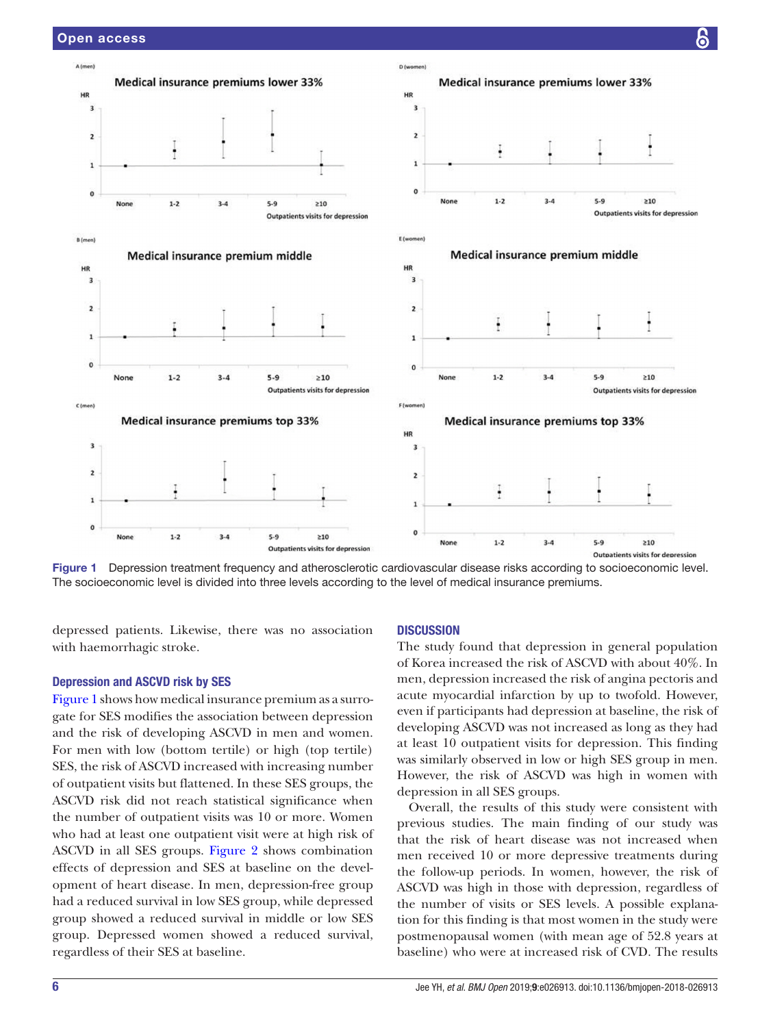

<span id="page-5-0"></span>Figure 1 Depression treatment frequency and atherosclerotic cardiovascular disease risks according to socioeconomic level. The socioeconomic level is divided into three levels according to the level of medical insurance premiums.

depressed patients. Likewise, there was no association with haemorrhagic stroke.

# Depression and ASCVD risk by SES

[Figure](#page-5-0) 1 shows how medical insurance premium as a surrogate for SES modifies the association between depression and the risk of developing ASCVD in men and women. For men with low (bottom tertile) or high (top tertile) SES, the risk of ASCVD increased with increasing number of outpatient visits but flattened. In these SES groups, the ASCVD risk did not reach statistical significance when the number of outpatient visits was 10 or more. Women who had at least one outpatient visit were at high risk of ASCVD in all SES groups. [Figure](#page-6-0) 2 shows combination effects of depression and SES at baseline on the development of heart disease. In men, depression-free group had a reduced survival in low SES group, while depressed group showed a reduced survival in middle or low SES group. Depressed women showed a reduced survival, regardless of their SES at baseline.

#### **DISCUSSION**

The study found that depression in general population of Korea increased the risk of ASCVD with about 40%. In men, depression increased the risk of angina pectoris and acute myocardial infarction by up to twofold. However, even if participants had depression at baseline, the risk of developing ASCVD was not increased as long as they had at least 10 outpatient visits for depression. This finding was similarly observed in low or high SES group in men. However, the risk of ASCVD was high in women with depression in all SES groups.

Overall, the results of this study were consistent with previous studies. The main finding of our study was that the risk of heart disease was not increased when men received 10 or more depressive treatments during the follow-up periods. In women, however, the risk of ASCVD was high in those with depression, regardless of the number of visits or SES levels. A possible explanation for this finding is that most women in the study were postmenopausal women (with mean age of 52.8 years at baseline) who were at increased risk of CVD. The results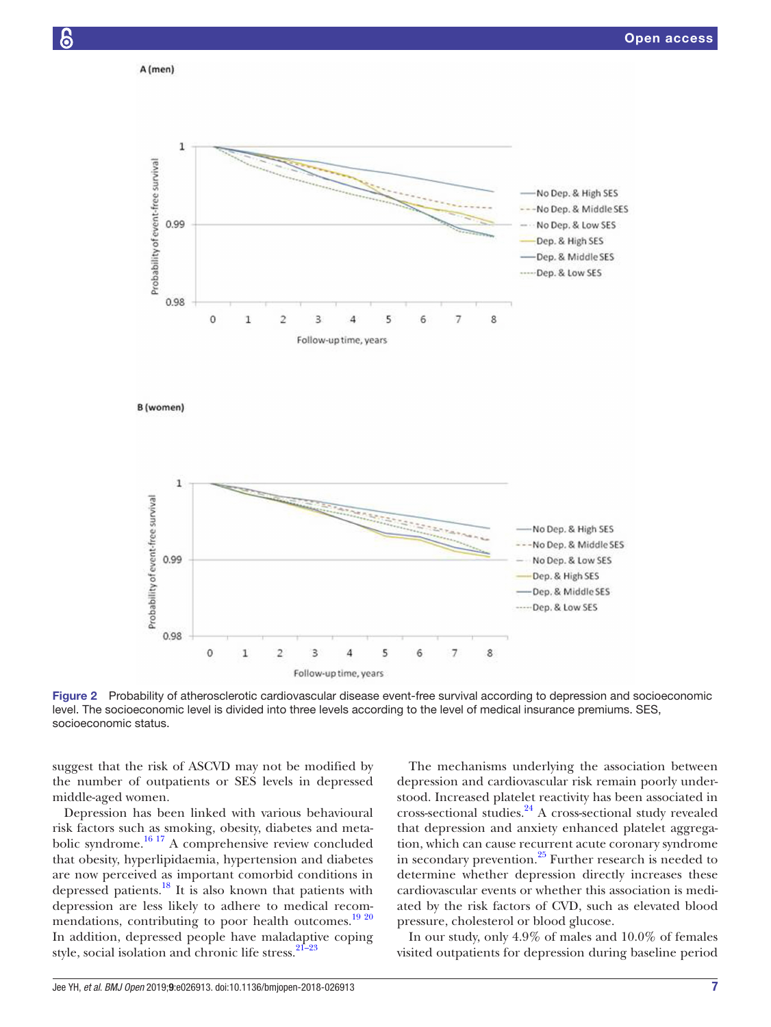

<span id="page-6-0"></span>Figure 2 Probability of atherosclerotic cardiovascular disease event-free survival according to depression and socioeconomic level. The socioeconomic level is divided into three levels according to the level of medical insurance premiums. SES, socioeconomic status.

suggest that the risk of ASCVD may not be modified by the number of outpatients or SES levels in depressed middle-aged women.

Depression has been linked with various behavioural risk factors such as smoking, obesity, diabetes and metabolic syndrome[.16 17](#page-8-2) A comprehensive review concluded that obesity, hyperlipidaemia, hypertension and diabetes are now perceived as important comorbid conditions in depressed patients.<sup>18</sup> It is also known that patients with depression are less likely to adhere to medical recom-mendations, contributing to poor health outcomes.<sup>[19 20](#page-8-4)</sup> In addition, depressed people have maladaptive coping style, social isolation and chronic life stress.<sup>21-23</sup>

The mechanisms underlying the association between depression and cardiovascular risk remain poorly understood. Increased platelet reactivity has been associated in cross-sectional studies. $24$  A cross-sectional study revealed that depression and anxiety enhanced platelet aggregation, which can cause recurrent acute coronary syndrome in secondary prevention. $25$  Further research is needed to determine whether depression directly increases these cardiovascular events or whether this association is mediated by the risk factors of CVD, such as elevated blood pressure, cholesterol or blood glucose.

In our study, only 4.9% of males and 10.0% of females visited outpatients for depression during baseline period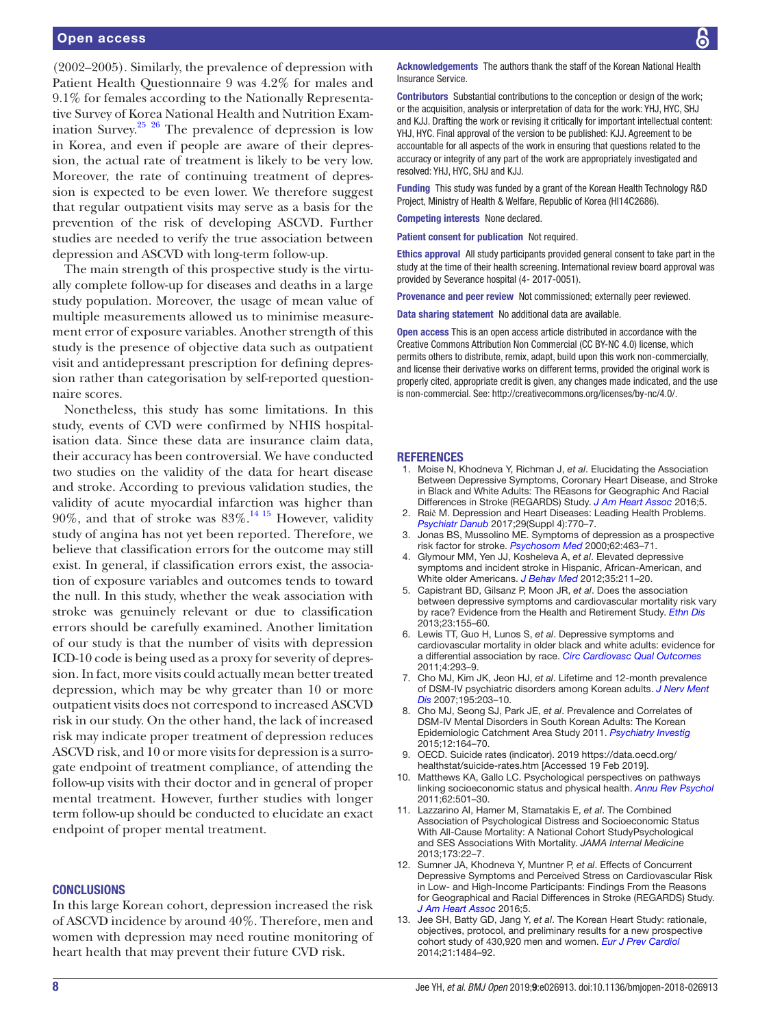(2002–2005). Similarly, the prevalence of depression with Patient Health Questionnaire 9 was 4.2% for males and 9.1% for females according to the Nationally Representative Survey of Korea National Health and Nutrition Exam-ination Survey.<sup>[25](#page-8-7) 26</sup> The prevalence of depression is low in Korea, and even if people are aware of their depression, the actual rate of treatment is likely to be very low. Moreover, the rate of continuing treatment of depression is expected to be even lower. We therefore suggest that regular outpatient visits may serve as a basis for the prevention of the risk of developing ASCVD. Further studies are needed to verify the true association between depression and ASCVD with long-term follow-up.

The main strength of this prospective study is the virtually complete follow-up for diseases and deaths in a large study population. Moreover, the usage of mean value of multiple measurements allowed us to minimise measurement error of exposure variables. Another strength of this study is the presence of objective data such as outpatient visit and antidepressant prescription for defining depression rather than categorisation by self-reported questionnaire scores.

Nonetheless, this study has some limitations. In this study, events of CVD were confirmed by NHIS hospitalisation data. Since these data are insurance claim data, their accuracy has been controversial. We have conducted two studies on the validity of the data for heart disease and stroke. According to previous validation studies, the validity of acute myocardial infarction was higher than 90%, and that of stroke was  $83\%$ .<sup>[14 15](#page-8-0)</sup> However, validity study of angina has not yet been reported. Therefore, we believe that classification errors for the outcome may still exist. In general, if classification errors exist, the association of exposure variables and outcomes tends to toward the null. In this study, whether the weak association with stroke was genuinely relevant or due to classification errors should be carefully examined. Another limitation of our study is that the number of visits with depression ICD-10 code is being used as a proxy for severity of depression. In fact, more visits could actually mean better treated depression, which may be why greater than 10 or more outpatient visits does not correspond to increased ASCVD risk in our study. On the other hand, the lack of increased risk may indicate proper treatment of depression reduces ASCVD risk, and 10 or more visits for depression is a surrogate endpoint of treatment compliance, of attending the follow-up visits with their doctor and in general of proper mental treatment. However, further studies with longer term follow-up should be conducted to elucidate an exact endpoint of proper mental treatment.

#### **CONCLUSIONS**

In this large Korean cohort, depression increased the risk of ASCVD incidence by around 40%. Therefore, men and women with depression may need routine monitoring of heart health that may prevent their future CVD risk.

Acknowledgements The authors thank the staff of the Korean National Health Insurance Service.

Contributors Substantial contributions to the conception or design of the work; or the acquisition, analysis or interpretation of data for the work: YHJ, HYC, SHJ and KJJ. Drafting the work or revising it critically for important intellectual content: YHJ, HYC. Final approval of the version to be published: KJJ. Agreement to be accountable for all aspects of the work in ensuring that questions related to the accuracy or integrity of any part of the work are appropriately investigated and resolved: YHJ, HYC, SHJ and KJJ.

Funding This study was funded by a grant of the Korean Health Technology R&D Project, Ministry of Health & Welfare, Republic of Korea (HI14C2686).

Competing interests None declared.

Patient consent for publication Not required.

Ethics approval All study participants provided general consent to take part in the study at the time of their health screening. International review board approval was provided by Severance hospital (4- 2017-0051).

Provenance and peer review Not commissioned; externally peer reviewed.

Data sharing statement No additional data are available

Open access This is an open access article distributed in accordance with the Creative Commons Attribution Non Commercial (CC BY-NC 4.0) license, which permits others to distribute, remix, adapt, build upon this work non-commercially, and license their derivative works on different terms, provided the original work is properly cited, appropriate credit is given, any changes made indicated, and the use is non-commercial. See: [http://creativecommons.org/licenses/by-nc/4.0/.](http://creativecommons.org/licenses/by-nc/4.0/)

#### **REFERENCES**

- <span id="page-7-0"></span>1. Moise N, Khodneva Y, Richman J, *et al*. Elucidating the Association Between Depressive Symptoms, Coronary Heart Disease, and Stroke in Black and White Adults: The REasons for Geographic And Racial Differences in Stroke (REGARDS) Study. *[J Am Heart Assoc](http://dx.doi.org/10.1161/JAHA.116.003767)* 2016;5.
- 2. Raič M. Depression and Heart Diseases: Leading Health Problems. *[Psychiatr Danub](http://www.ncbi.nlm.nih.gov/pubmed/29278623)* 2017;29(Suppl 4):770–7.
- 3. Jonas BS, Mussolino ME. Symptoms of depression as a prospective risk factor for stroke. *[Psychosom Med](http://dx.doi.org/10.1097/00006842-200007000-00001)* 2000;62:463–71.
- 4. Glymour MM, Yen JJ, Kosheleva A, *et al*. Elevated depressive symptoms and incident stroke in Hispanic, African-American, and White older Americans. *[J Behav Med](http://dx.doi.org/10.1007/s10865-011-9356-2)* 2012;35:211–20.
- <span id="page-7-1"></span>5. Capistrant BD, Gilsanz P, Moon JR, *et al*. Does the association between depressive symptoms and cardiovascular mortality risk vary by race? Evidence from the Health and Retirement Study. *[Ethn Dis](http://www.ncbi.nlm.nih.gov/pubmed/23530295)* 2013;23:155–60.
- 6. Lewis TT, Guo H, Lunos S, *et al*. Depressive symptoms and cardiovascular mortality in older black and white adults: evidence for a differential association by race. *[Circ Cardiovasc Qual Outcomes](http://dx.doi.org/10.1161/CIRCOUTCOMES.110.957548)* 2011;4:293–9.
- <span id="page-7-2"></span>7. Cho MJ, Kim JK, Jeon HJ, *et al*. Lifetime and 12-month prevalence of DSM-IV psychiatric disorders among Korean adults. *[J Nerv Ment](http://dx.doi.org/10.1097/01.nmd.0000243826.40732.45)  [Dis](http://dx.doi.org/10.1097/01.nmd.0000243826.40732.45)* 2007;195:203–10.
- 8. Cho MJ, Seong SJ, Park JE, *et al*. Prevalence and Correlates of DSM-IV Mental Disorders in South Korean Adults: The Korean Epidemiologic Catchment Area Study 2011. *[Psychiatry Investig](http://dx.doi.org/10.4306/pi.2015.12.2.164)* 2015;12:164–70.
- <span id="page-7-3"></span>9. OECD. Suicide rates (indicator). 2019 [https://data.oecd.org/](https://data.oecd.org/healthstat/suicide-rates.htm) [healthstat/suicide-rates.htm](https://data.oecd.org/healthstat/suicide-rates.htm) [Accessed 19 Feb 2019].
- <span id="page-7-4"></span>10. Matthews KA, Gallo LC. Psychological perspectives on pathways linking socioeconomic status and physical health. *[Annu Rev Psychol](http://dx.doi.org/10.1146/annurev.psych.031809.130711)* 2011;62:501–30.
- 11. Lazzarino AI, Hamer M, Stamatakis E, *et al*. The Combined Association of Psychological Distress and Socioeconomic Status With All-Cause Mortality: A National Cohort StudyPsychological and SES Associations With Mortality. *JAMA Internal Medicine* 2013;173:22–7.
- <span id="page-7-5"></span>12. Sumner JA, Khodneva Y, Muntner P, *et al*. Effects of Concurrent Depressive Symptoms and Perceived Stress on Cardiovascular Risk in Low- and High-Income Participants: Findings From the Reasons for Geographical and Racial Differences in Stroke (REGARDS) Study. *[J Am Heart Assoc](http://dx.doi.org/10.1161/JAHA.116.003930)* 2016;5.
- <span id="page-7-6"></span>13. Jee SH, Batty GD, Jang Y, *et al*. The Korean Heart Study: rationale, objectives, protocol, and preliminary results for a new prospective cohort study of 430,920 men and women. *[Eur J Prev Cardiol](http://dx.doi.org/10.1177/2047487313497602)* 2014;21:1484–92.